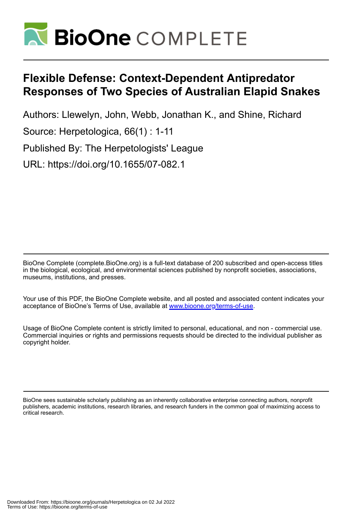

# **Flexible Defense: Context-Dependent Antipredator Responses of Two Species of Australian Elapid Snakes**

Authors: Llewelyn, John, Webb, Jonathan K., and Shine, Richard Source: Herpetologica, 66(1) : 1-11 Published By: The Herpetologists' League URL: https://doi.org/10.1655/07-082.1

BioOne Complete (complete.BioOne.org) is a full-text database of 200 subscribed and open-access titles in the biological, ecological, and environmental sciences published by nonprofit societies, associations, museums, institutions, and presses.

Your use of this PDF, the BioOne Complete website, and all posted and associated content indicates your acceptance of BioOne's Terms of Use, available at www.bioone.org/terms-of-use.

Usage of BioOne Complete content is strictly limited to personal, educational, and non - commercial use. Commercial inquiries or rights and permissions requests should be directed to the individual publisher as copyright holder.

BioOne sees sustainable scholarly publishing as an inherently collaborative enterprise connecting authors, nonprofit publishers, academic institutions, research libraries, and research funders in the common goal of maximizing access to critical research.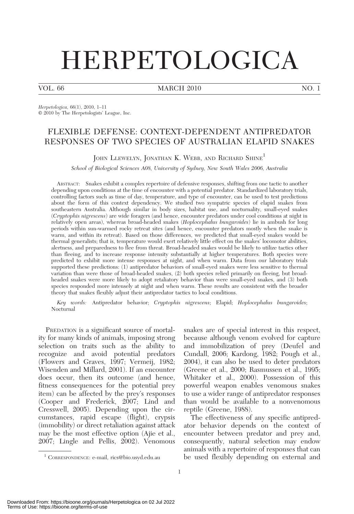# HERPETOLOGICA

VOL. 66 MARCH 2010 NO. 1

Herpetologica, 66(1), 2010, 1–11  $© 2010$  by The Herpetologists' League, Inc.

# FLEXIBLE DEFENSE: CONTEXT-DEPENDENT ANTIPREDATOR RESPONSES OF TWO SPECIES OF AUSTRALIAN ELAPID SNAKES

# JOHN LLEWELYN, JONATHAN K. WEBB, AND RICHARD SHINE<sup>1</sup>

School of Biological Sciences A08, University of Sydney, New South Wales 2006, Australia

ABSTRACT: Snakes exhibit a complex repertoire of defensive responses, shifting from one tactic to another depending upon conditions at the time of encounter with a potential predator. Standardized laboratory trials, controlling factors such as time of day, temperature, and type of encounter, can be used to test predictions about the form of this context dependency. We studied two sympatric species of elapid snakes from southeastern Australia. Although similar in body sizes, habitat use, and nocturnality, small-eyed snakes (Cryptophis nigrescens) are wide foragers (and hence, encounter predators under cool conditions at night in relatively open areas), whereas broad-headed snakes (Hoplocephalus bungaroides) lie in ambush for long periods within sun-warmed rocky retreat sites (and hence, encounter predators mostly when the snake is warm, and within its retreat). Based on those differences, we predicted that small-eyed snakes would be thermal generalists; that is, temperature would exert relatively little effect on the snakes' locomotor abilities, alertness, and preparedness to flee from threat. Broad-headed snakes would be likely to utilize tactics other than fleeing, and to increase response intensity substantially at higher temperatures. Both species were predicted to exhibit more intense responses at night, and when warm. Data from our laboratory trials supported these predictions: (1) antipredator behaviors of small-eyed snakes were less sensitive to thermal variation than were those of broad-headed snakes, (2) both species relied primarily on fleeing, but broadheaded snakes were more likely to adopt retaliatory behavior than were small-eyed snakes, and (3) both species responded more intensely at night and when warm. These results are consistent with the broader theory that snakes flexibly adjust their antipredator tactics to local conditions.

Key words: Antipredator behavior; Cryptophis nigrescens; Elapid; Hoplocephalus bungaroides; Nocturnal

PREDATION is a significant source of mortality for many kinds of animals, imposing strong selection on traits such as the ability to recognize and avoid potential predators (Flowers and Graves, 1997; Vermeij, 1982; Wisenden and Millard, 2001). If an encounter does occur, then its outcome (and hence, fitness consequences for the potential prey item) can be affected by the prey's responses (Cooper and Frederick, 2007; Lind and Cresswell, 2005). Depending upon the circumstances, rapid escape (flight), crypsis (immobility) or direct retaliation against attack may be the most effective option (Ajie et al., 2007; Lingle and Pellis, 2002). Venomous snakes are of special interest in this respect, because although venom evolved for capture and immobilization of prey (Deufel and Cundall, 2006; Kardong, 1982; Pough et al., 2004), it can also be used to deter predators (Greene et al., 2000; Rasmussen et al., 1995; Whitaker et al., 2000). Possession of this powerful weapon enables venomous snakes to use a wider range of antipredator responses than would be available to a nonvenomous reptile (Greene, 1988).

The effectiveness of any specific antipredator behavior depends on the context of encounter between predator and prey and, consequently, natural selection may endow animals with a repertoire of responses that can <sup>1</sup> CORRESPONDENCE: e-mail, rics@bio.usyd.edu.au be used flexibly depending on external and

Downloaded From: https://bioone.org/journals/Herpetologica on 02 Jul 2022 Terms of Use: https://bioone.org/terms-of-use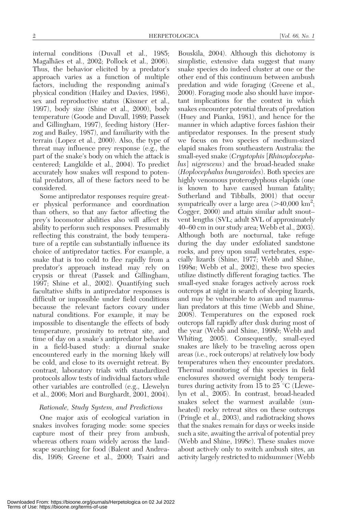internal conditions (Duvall et al., 1985; Magalhães et al., 2002; Pollock et al., 2006). Thus, the behavior elicited by a predator's approach varies as a function of multiple factors, including the responding animal's physical condition (Hailey and Davies, 1986), sex and reproductive status (Kissner et al., 1997), body size (Shine et al., 2000), body temperature (Goode and Duvall, 1989; Passek and Gillingham, 1997), feeding history (Herzog and Bailey, 1987), and familiarity with the terrain (Lopez et al., 2000). Also, the type of threat may influence prey response (e.g., the part of the snake's body on which the attack is centered; Langkilde et al., 2004). To predict accurately how snakes will respond to potential predators, all of these factors need to be considered.

Some antipredator responses require greater physical performance and coordination than others, so that any factor affecting the prey's locomotor abilities also will affect its ability to perform such responses. Presumably reflecting this constraint, the body temperature of a reptile can substantially influence its choice of antipredator tactics. For example, a snake that is too cold to flee rapidly from a predator's approach instead may rely on crypsis or threat (Passek and Gillingham, 1997; Shine et al., 2002). Quantifying such facultative shifts in antipredator responses is difficult or impossible under field conditions because the relevant factors covary under natural conditions. For example, it may be impossible to disentangle the effects of body temperature, proximity to retreat site, and time of day on a snake's antipredator behavior in a field-based study: a diurnal snake encountered early in the morning likely will be cold, and close to its overnight retreat. By contrast, laboratory trials with standardized protocols allow tests of individual factors while other variables are controlled (e.g., Llewelyn et al., 2006; Mori and Burghardt, 2001, 2004).

# Rationale, Study System, and Predictions

One major axis of ecological variation in snakes involves foraging mode: some species capture most of their prey from ambush, whereas others roam widely across the landscape searching for food (Balent and Andreadis, 1998; Greene et al., 2000; Tsairi and Bouskila, 2004). Although this dichotomy is simplistic, extensive data suggest that many snake species do indeed cluster at one or the other end of this continuum between ambush predation and wide foraging (Greene et al., 2000). Foraging mode also should have important implications for the context in which snakes encounter potential threats of predation (Huey and Pianka, 1981), and hence for the manner in which adaptive forces fashion their antipredator responses. In the present study we focus on two species of medium-sized elapid snakes from southeastern Australia: the small-eyed snake (Cryptophis [Rhinoplocephalus] nigrescens) and the broad-headed snake (Hoplocephalus bungaroides). Both species are highly venomous proteroglyphous elapids (one is known to have caused human fatality; Sutherland and Tibballs, 2001) that occur sympatrically over a large area  $(>40,000 \text{ km}^2;$ Cogger, 2000) and attain similar adult snout– vent lengths (SVL; adult SVL of approximately 40–60 cm in our study area; Webb et al., 2003). Although both are nocturnal, take refuge during the day under exfoliated sandstone rocks, and prey upon small vertebrates, especially lizards (Shine, 1977; Webb and Shine, 1998a; Webb et al., 2002), these two species utilize distinctly different foraging tactics. The small-eyed snake forages actively across rock outcrops at night in search of sleeping lizards, and may be vulnerable to avian and mammalian predators at this time (Webb and Shine, 2008). Temperatures on the exposed rock outcrops fall rapidly after dusk during most of the year (Webb and Shine, 1998b; Webb and Whiting, 2005). Consequently, small-eyed snakes are likely to be traveling across open areas (i.e., rock outcrops) at relatively low body temperatures when they encounter predators. Thermal monitoring of this species in field enclosures showed overnight body temperatures during activity from 15 to 25  $\degree$ C (Llewelyn et al., 2005). In contrast, broad-headed snakes select the warmest available (sunheated) rocky retreat sites on these outcrops (Pringle et al., 2003), and radiotracking shows that the snakes remain for days or weeks inside such a site, awaiting the arrival of potential prey (Webb and Shine, 1998c). These snakes move about actively only to switch ambush sites, an activity largely restricted to midsummer (Webb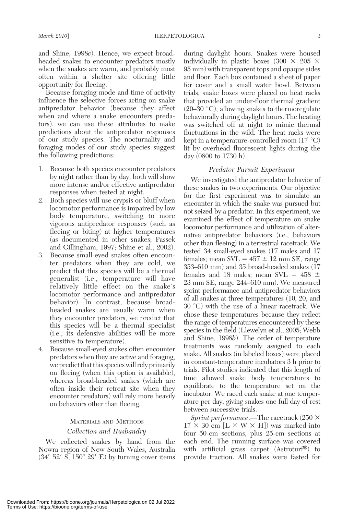and Shine, 1998c). Hence, we expect broadheaded snakes to encounter predators mostly when the snakes are warm, and probably most often within a shelter site offering little opportunity for fleeing.

Because foraging mode and time of activity influence the selective forces acting on snake antipredator behavior (because they affect when and where a snake encounters predators), we can use these attributes to make predictions about the antipredator responses of our study species. The nocturnality and foraging modes of our study species suggest the following predictions:

- 1. Because both species encounter predators by night rather than by day, both will show more intense and/or effective antipredator responses when tested at night.
- 2. Both species will use crypsis or bluff when locomotor performance is impaired by low body temperature, switching to more vigorous antipredator responses (such as fleeing or biting) at higher temperatures (as documented in other snakes; Passek and Gillingham, 1997; Shine et al., 2002).
- 3. Because small-eyed snakes often encounter predators when they are cold, we predict that this species will be a thermal generalist (i.e., temperature will have relatively little effect on the snake's locomotor performance and antipredator behavior). In contrast, because broadheaded snakes are usually warm when they encounter predators, we predict that this species will be a thermal specialist (i.e., its defensive abilities will be more sensitive to temperature).
- 4. Because small-eyed snakes often encounter predators when they are active and foraging, we predict that this species will rely primarily on fleeing (when this option is available), whereas broad-headed snakes (which are often inside their retreat site when they encounter predators) will rely more heavily on behaviors other than fleeing.

#### MATERIALS AND METHODS

#### Collection and Husbandry

We collected snakes by hand from the Nowra region of New South Wales, Australia  $(34^{\circ}$  52' S, 150° 29' E) by turning cover items

during daylight hours. Snakes were housed individually in plastic boxes (300  $\times$  205  $\times$ 95 mm) with transparent tops and opaque sides and floor. Each box contained a sheet of paper for cover and a small water bowl. Between trials, snake boxes were placed on heat racks that provided an under-floor thermal gradient  $(20-30 \degree C)$ , allowing snakes to thermoregulate behaviorally during daylight hours. The heating was switched off at night to mimic thermal fluctuations in the wild. The heat racks were kept in a temperature-controlled room  $(17 \text{ °C})$ lit by overhead fluorescent lights during the day (0800 to 1730 h).

#### Predator Pursuit Experiment

We investigated the antipredator behavior of these snakes in two experiments. Our objective for the first experiment was to simulate an encounter in which the snake was pursued but not seized by a predator. In this experiment, we examined the effect of temperature on snake locomotor performance and utilization of alternative antipredator behaviors (i.e., behaviors other than fleeing) in a terrestrial racetrack. We tested 34 small-eyed snakes (17 males and 17 females; mean  $SVL = 457 \pm 12$  mm SE, range 353–610 mm) and 35 broad-headed snakes (17 females and 18 males; mean SVL =  $458 \pm$ 23 mm SE, range 244–610 mm). We measured sprint performance and antipredator behaviors of all snakes at three temperatures (10, 20, and  $30^{\circ}$ C) with the use of a linear racetrack. We chose these temperatures because they reflect the range of temperatures encountered by these species in the field (Llewelyn et al., 2005; Webb and Shine, 1998b). The order of temperature treatments was randomly assigned to each snake. All snakes (in labeled boxes) were placed in constant-temperature incubators 3 h prior to trials. Pilot studies indicated that this length of time allowed snake body temperatures to equilibrate to the temperature set on the incubator. We raced each snake at one temperature per day, giving snakes one full day of rest between successive trials.

Sprint performance.—The racetrack  $(250 \times$  $17 \times 30$  cm [L  $\times$  W  $\times$  H]) was marked into four 50-cm sections, plus 25-cm sections at each end. The running surface was covered with artificial grass carpet  $(Astructor^{®})$  to provide traction. All snakes were fasted for

Downloaded From: https://bioone.org/journals/Herpetologica on 02 Jul 2022 Terms of Use: https://bioone.org/terms-of-use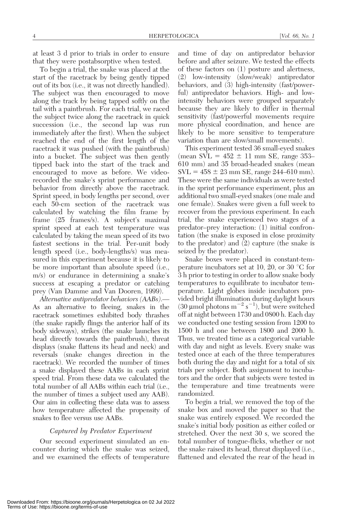at least 3 d prior to trials in order to ensure that they were postabsorptive when tested.

To begin a trial, the snake was placed at the start of the racetrack by being gently tipped out of its box (i.e., it was not directly handled). The subject was then encouraged to move along the track by being tapped softly on the tail with a paintbrush. For each trial, we raced the subject twice along the racetrack in quick succession (i.e., the second lap was run immediately after the first). When the subject reached the end of the first length of the racetrack it was pushed (with the paintbrush) into a bucket. The subject was then gently tipped back into the start of the track and encouraged to move as before. We videorecorded the snake's sprint performance and behavior from directly above the racetrack. Sprint speed, in body lengths per second, over each 50-cm section of the racetrack was calculated by watching the film frame by frame (25 frames/s). A subject's maximal sprint speed at each test temperature was calculated by taking the mean speed of its two fastest sections in the trial. Per-unit body length speed (i.e., body-lengths/s) was measured in this experiment because it is likely to be more important than absolute speed (i.e., m/s) or endurance in determining a snake's success at escaping a predator or catching prey (Van Damme and Van Dooren, 1999).

Alternative antipredator behaviors (AABs).— As an alternative to fleeing, snakes in the racetrack sometimes exhibited body thrashes (the snake rapidly flings the anterior half of its body sideways), strikes (the snake launches its head directly towards the paintbrush), threat displays (snake flattens its head and neck) and reversals (snake changes direction in the racetrack). We recorded the number of times a snake displayed these AABs in each sprint speed trial. From these data we calculated the total number of all AABs within each trial (i.e., the number of times a subject used any AAB). Our aim in collecting these data was to assess how temperature affected the propensity of snakes to flee versus use AABs.

### Captured by Predator Experiment

Our second experiment simulated an encounter during which the snake was seized, and we examined the effects of temperature and time of day on antipredator behavior before and after seizure. We tested the effects of these factors on (1) posture and alertness, (2) low-intensity (slow/weak) antipredator behaviors, and (3) high-intensity (fast/powerful) antipredator behaviors. High- and lowintensity behaviors were grouped separately because they are likely to differ in thermal sensitivity (fast/powerful movements require more physical coordination, and hence are likely to be more sensitive to temperature variation than are slow/small movements).

This experiment tested 36 small-eyed snakes (mean SVL =  $452 \pm 11$  mm SE, range 353– 610 mm) and 35 broad-headed snakes (mean  $SVL = 458 \pm 23$  mm SE, range 244–610 mm). These were the same individuals as were tested in the sprint performance experiment, plus an additional two small-eyed snakes (one male and one female). Snakes were given a full week to recover from the previous experiment. In each trial, the snake experienced two stages of a predator–prey interaction: (1) initial confrontation (the snake is exposed in close proximity to the predator) and (2) capture (the snake is seized by the predator).

Snake boxes were placed in constant-temperature incubators set at 10, 20, or 30  $^{\circ}$ C for 3 h prior to testing in order to allow snake body temperatures to equilibrate to incubator temperature. Light globes inside incubators provided bright illumination during daylight hours (30 µmol photons  $m^{-2} s^{-1}$ ), but were switched off at night between 1730 and 0800 h. Each day we conducted one testing session from 1200 to 1500 h and one between 1800 and 2000 h. Thus, we treated time as a categorical variable with day and night as levels. Every snake was tested once at each of the three temperatures both during the day and night for a total of six trials per subject. Both assignment to incubators and the order that subjects were tested in the temperature and time treatments were randomized.

To begin a trial, we removed the top of the snake box and moved the paper so that the snake was entirely exposed. We recorded the snake's initial body position as either coiled or stretched. Over the next 30 s, we scored the total number of tongue-flicks, whether or not the snake raised its head, threat displayed (i.e., flattened and elevated the rear of the head in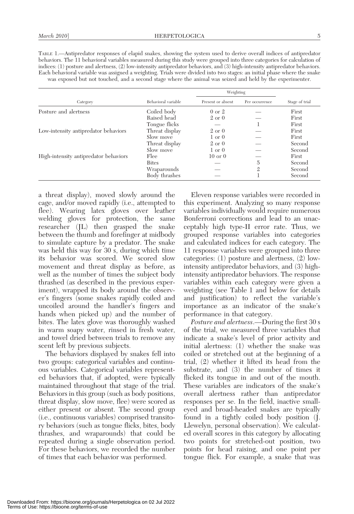| TABLE 1.—Antipredator responses of elapid snakes, showing the system used to derive overall indices of antipredator                |
|------------------------------------------------------------------------------------------------------------------------------------|
| behaviors. The 11 behavioral variables measured during this study were grouped into three categories for calculation of            |
| indices: $(1)$ posture and alertness, $(2)$ low-intensity antipredator behaviors, and $(3)$ high-intensity antipredator behaviors. |
| Each behavioral variable was assigned a weighting. Trials were divided into two stages: an initial phase where the snake           |
| was exposed but not touched, and a second stage where the animal was seized and held by the experimenter.                          |

|                                       |                     | Weighting         |                |                |
|---------------------------------------|---------------------|-------------------|----------------|----------------|
| Category                              | Behavioral variable | Present or absent | Per occurrence | Stage of trial |
| Posture and alertness                 | Coiled body         | $0 \text{ or } 2$ |                | First          |
|                                       | Raised head         | $2 \text{ or } 0$ |                | First          |
|                                       | Tongue flicks       |                   |                | First          |
| Low-intensity antipredator behaviors  | Threat display      | $2 \text{ or } 0$ |                | First          |
|                                       | Slow move           | $1 \text{ or } 0$ |                | First          |
|                                       | Threat display      | $2 \text{ or } 0$ |                | Second         |
|                                       | Slow move           | $1 \text{ or } 0$ |                | Second         |
| High-intensity antipredator behaviors | Flee                | $10$ or $0$       |                | First          |
|                                       | <b>Bites</b>        |                   | 5              | Second         |
|                                       | Wraparounds         |                   | 2              | Second         |
|                                       | Body thrashes       |                   |                | Second         |

a threat display), moved slowly around the cage, and/or moved rapidly (i.e., attempted to flee). Wearing latex gloves over leather welding gloves for protection, the same researcher (JL) then grasped the snake between the thumb and forefinger at midbody to simulate capture by a predator. The snake was held this way for 30 s, during which time its behavior was scored. We scored slow movement and threat display as before, as well as the number of times the subject body thrashed (as described in the previous experiment), wrapped its body around the observer's fingers (some snakes rapidly coiled and uncoiled around the handler's fingers and hands when picked up) and the number of bites. The latex glove was thoroughly washed in warm soapy water, rinsed in fresh water, and towel dried between trials to remove any scent left by previous subjects.

The behaviors displayed by snakes fell into two groups: categorical variables and continuous variables. Categorical variables represented behaviors that, if adopted, were typically maintained throughout that stage of the trial. Behaviors in this group (such as body positions, threat display, slow move, flee) were scored as either present or absent. The second group (i.e., continuous variables) comprised transitory behaviors (such as tongue flicks, bites, body thrashes, and wraparounds) that could be repeated during a single observation period. For these behaviors, we recorded the number of times that each behavior was performed.

Eleven response variables were recorded in this experiment. Analyzing so many response variables individually would require numerous Bonferroni corrections and lead to an unacceptably high type-II error rate. Thus, we grouped response variables into categories and calculated indices for each category. The 11 response variables were grouped into three categories: (1) posture and alertness, (2) lowintensity antipredator behaviors, and (3) highintensity antipredator behaviors. The response variables within each category were given a weighting (see Table 1 and below for details and justification) to reflect the variable's importance as an indicator of the snake's performance in that category.

Posture and alertness.—During the first 30 s of the trial, we measured three variables that indicate a snake's level of prior activity and initial alertness: (1) whether the snake was coiled or stretched out at the beginning of a trial, (2) whether it lifted its head from the substrate, and (3) the number of times it flicked its tongue in and out of the mouth. These variables are indicators of the snake's overall alertness rather than antipredator responses per se. In the field, inactive smalleyed and broad-headed snakes are typically found in a tightly coiled body position (J. Llewelyn, personal observation). We calculated overall scores in this category by allocating two points for stretched-out position, two points for head raising, and one point per tongue flick. For example, a snake that was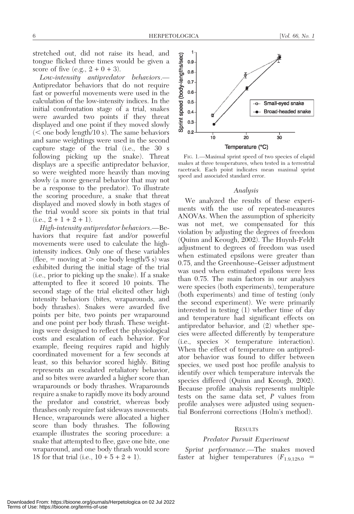stretched out, did not raise its head, and tongue flicked three times would be given a score of five (e.g.,  $2 + 0 + 3$ ).

Low-intensity antipredator behaviors.— Antipredator behaviors that do not require fast or powerful movements were used in the calculation of the low-intensity indices. In the initial confrontation stage of a trial, snakes were awarded two points if they threat displayed and one point if they moved slowly  $(<$  one body length/10 s). The same behaviors and same weightings were used in the second capture stage of the trial (i.e., the 30 s following picking up the snake). Threat displays are a specific antipredator behavior, so were weighted more heavily than moving slowly (a more general behavior that may not be a response to the predator). To illustrate the scoring procedure, a snake that threat displayed and moved slowly in both stages of the trial would score six points in that trial  $(i.e., 2 + 1 + 2 + 1).$ 

High-intensity antipredator behaviors.—Behaviors that require fast and/or powerful movements were used to calculate the highintensity indices. Only one of these variables (flee,  $=$  moving at  $>$  one body length/5 s) was exhibited during the initial stage of the trial (i.e., prior to picking up the snake). If a snake attempted to flee it scored 10 points. The second stage of the trial elicited other high intensity behaviors (bites, wraparounds, and body thrashes). Snakes were awarded five points per bite, two points per wraparound and one point per body thrash. These weightings were designed to reflect the physiological costs and escalation of each behavior. For example, fleeing requires rapid and highly coordinated movement for a few seconds at least, so this behavior scored highly. Biting represents an escalated retaliatory behavior, and so bites were awarded a higher score than wraparounds or body thrashes. Wraparounds require a snake to rapidly move its body around the predator and constrict, whereas body thrashes only require fast sideways movements. Hence, wraparounds were allocated a higher score than body thrashes. The following example illustrates the scoring procedure: a snake that attempted to flee, gave one bite, one wraparound, and one body thrash would score 18 for that trial (i.e.,  $10 + 5 + 2 + 1$ ).



FIG. 1.—Maximal sprint speed of two species of elapid snakes at three temperatures, when tested in a terrestrial racetrack. Each point indicates mean maximal sprint speed and associated standard error.

#### Analysis

We analyzed the results of these experiments with the use of repeated-measures ANOVAs. When the assumption of sphericity was not met, we compensated for this violation by adjusting the degrees of freedom (Quinn and Keough, 2002). The Huynh-Feldt adjustment to degrees of freedom was used when estimated epsilons were greater than 0.75, and the Greenhouse–Geisser adjustment was used when estimated epsilons were less than 0.75. The main factors in our analyses were species (both experiments), temperature (both experiments) and time of testing (only the second experiment). We were primarily interested in testing (1) whether time of day and temperature had significant effects on antipredator behavior, and (2) whether species were affected differently by temperature  $(i.e., species × temperature interaction).$ When the effect of temperature on antipredator behavior was found to differ between species, we used post hoc profile analysis to identify over which temperature intervals the species differed (Quinn and Keough, 2002). Because profile analysis represents multiple tests on the same data set, P values from profile analyses were adjusted using sequential Bonferroni corrections (Holm's method).

#### RESULTS

## Predator Pursuit Experiment

Sprint performance.—The snakes moved faster at higher temperatures  $(F_{1.9,128.0}$  =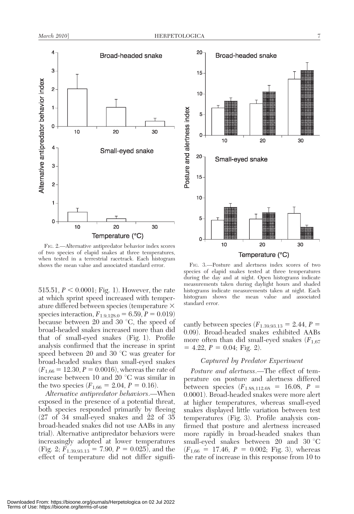

FIG. 2.—Alternative antipredator behavior index scores of two species of elapid snakes at three temperatures, when tested in a terrestrial racetrack. Each histogram shows the mean value and associated standard error. FIG. 3.—Posture and alertness index scores of two

515.51,  $P < 0.0001$ ; Fig. 1). However, the rate at which sprint speed increased with temperature differed between species (temperature  $\times$ species interaction,  $F_{1.9,128.0} = 6.59, P = 0.019$ because between 20 and 30  $^{\circ}$ C, the speed of broad-headed snakes increased more than did that of small-eyed snakes (Fig. 1). Profile analysis confirmed that the increase in sprint speed between 20 and 30  $\degree$ C was greater for broad-headed snakes than small-eyed snakes  $(F_{1,66} = 12.30, P = 0.0016)$ , whereas the rate of increase between 10 and 20 $\degree$ C was similar in the two species  $(F_{1,66} = 2.04, P = 0.16)$ .

Alternative antipredator behaviors.—When exposed in the presence of a potential threat, both species responded primarily by fleeing (27 of 34 small-eyed snakes and 22 of 35 broad-headed snakes did not use AABs in any trial). Alternative antipredator behaviors were increasingly adopted at lower temperatures (Fig. 2;  $F_{1.39,93,13} = 7.90, P = 0.025$ ), and the effect of temperature did not differ signifi-



species of elapid snakes tested at three temperatures during the day and at night. Open histograms indicate measurements taken during daylight hours and shaded histograms indicate measurements taken at night. Each histogram shows the mean value and associated standard error.

cantly between species  $(F_{1,39,93,13} = 2.44, P =$ 0.09). Broad-headed snakes exhibited AABs more often than did small-eyed snakes  $(F_{1,67})$  $= 4.22, P = 0.04; Fig. 2).$ 

### Captured by Predator Experiment

Posture and alertness.—The effect of temperature on posture and alertness differed between species  $(F_{1.88,112.68} = 16.08, P =$ 0.0001). Broad-headed snakes were more alert at higher temperatures, whereas small-eyed snakes displayed little variation between test temperatures (Fig. 3). Profile analysis confirmed that posture and alertness increased more rapidly in broad-headed snakes than small-eyed snakes between 20 and 30  $\degree$ C  $(F_{1,66} = 17.46, P = 0.002; Fig. 3), whereas$ the rate of increase in this response from 10 to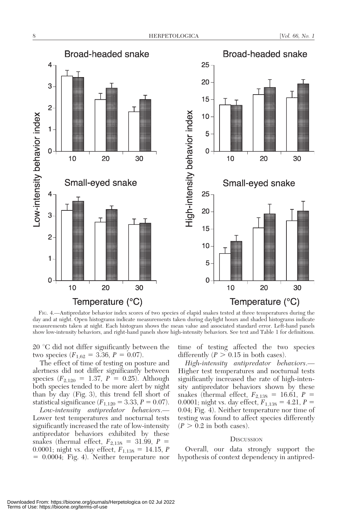

FIG. 4.—Antipredator behavior index scores of two species of elapid snakes tested at three temperatures during the day and at night. Open histograms indicate measurements taken during daylight hours and shaded histograms indicate measurements taken at night. Each histogram shows the mean value and associated standard error. Left-hand panels show low-intensity behaviors, and right-hand panels show high-intensity behaviors. See text and Table 1 for definitions.

 $20^{\circ}$ C did not differ significantly between the two species  $(F_{1,62} = 3.36, P = 0.07)$ .

The effect of time of testing on posture and alertness did not differ significantly between species  $(F_{2,120} = 1.37, P = 0.25)$ . Although both species tended to be more alert by night than by day (Fig. 3), this trend fell short of statistical significance  $(F_{1,120} = 3.33, P = 0.07)$ .

Low-intensity antipredator behaviors.— Lower test temperatures and nocturnal tests significantly increased the rate of low-intensity antipredator behaviors exhibited by these snakes (thermal effect,  $F_{2,138} = 31.99$ ,  $P =$ 0.0001; night vs. day effect,  $F_{1,138} = 14.15$ , P  $= 0.0004$ ; Fig. 4). Neither temperature nor time of testing affected the two species differently  $(P > 0.15$  in both cases).

High-intensity antipredator behaviors.— Higher test temperatures and nocturnal tests significantly increased the rate of high-intensity antipredator behaviors shown by these snakes (thermal effect,  $F_{2,138} = 16.61$ ,  $P =$ 0.0001; night vs. day effect,  $F_{1,138} = 4.21$ ,  $P =$ 0.04; Fig. 4). Neither temperature nor time of testing was found to affect species differently  $(P > 0.2$  in both cases).

#### **DISCUSSION**

Overall, our data strongly support the hypothesis of context dependency in antipred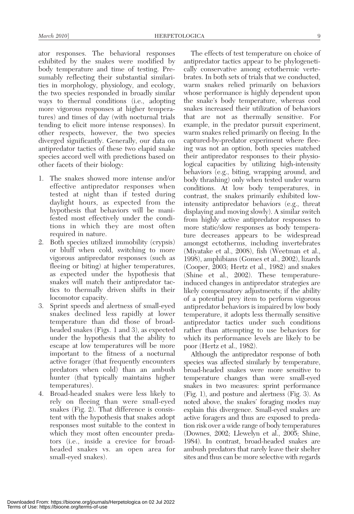ator responses. The behavioral responses exhibited by the snakes were modified by body temperature and time of testing. Presumably reflecting their substantial similarities in morphology, physiology, and ecology, the two species responded in broadly similar ways to thermal conditions (i.e., adopting more vigorous responses at higher temperatures) and times of day (with nocturnal trials tending to elicit more intense responses). In other respects, however, the two species diverged significantly. Generally, our data on antipredator tactics of these two elapid snake species accord well with predictions based on other facets of their biology:

- 1. The snakes showed more intense and/or effective antipredator responses when tested at night than if tested during daylight hours, as expected from the hypothesis that behaviors will be manifested most effectively under the conditions in which they are most often required in nature.
- 2. Both species utilized immobility (crypsis) or bluff when cold, switching to more vigorous antipredator responses (such as fleeing or biting) at higher temperatures, as expected under the hypothesis that snakes will match their antipredator tactics to thermally driven shifts in their locomotor capacity.
- 3. Sprint speeds and alertness of small-eyed snakes declined less rapidly at lower temperature than did those of broadheaded snakes (Figs. 1 and 3), as expected under the hypothesis that the ability to escape at low temperatures will be more important to the fitness of a nocturnal active forager (that frequently encounters predators when cold) than an ambush hunter (that typically maintains higher temperatures).
- 4. Broad-headed snakes were less likely to rely on fleeing than were small-eyed snakes (Fig. 2). That difference is consistent with the hypothesis that snakes adopt responses most suitable to the context in which they most often encounter predators (i.e., inside a crevice for broadheaded snakes vs. an open area for small-eyed snakes).

The effects of test temperature on choice of antipredator tactics appear to be phylogenetically conservative among ectothermic vertebrates. In both sets of trials that we conducted, warm snakes relied primarily on behaviors whose performance is highly dependent upon the snake's body temperature, whereas cool snakes increased their utilization of behaviors that are not as thermally sensitive. For example, in the predator pursuit experiment, warm snakes relied primarily on fleeing. In the captured-by-predator experiment where fleeing was not an option, both species matched their antipredator responses to their physiological capacities by utilizing high-intensity behaviors (e.g., biting, wrapping around, and body thrashing) only when tested under warm conditions. At low body temperatures, in contrast, the snakes primarily exhibited lowintensity antipredator behaviors (e.g., threat displaying and moving slowly). A similar switch from highly active antipredator responses to more static/slow responses as body temperature decreases appears to be widespread amongst ectotherms, including invertebrates (Miyatake et al., 2008), fish (Weetman et al., 1998), amphibians (Gomes et al., 2002), lizards (Cooper, 2003; Hertz et al., 1982) and snakes (Shine et al., 2002). These temperatureinduced changes in antipredator strategies are likely compensatory adjustments; if the ability of a potential prey item to perform vigorous antipredator behaviors is impaired by low body temperature, it adopts less thermally sensitive antipredator tactics under such conditions rather than attempting to use behaviors for which its performance levels are likely to be poor (Hertz et al., 1982).

Although the antipredator response of both species was affected similarly by temperature, broad-headed snakes were more sensitive to temperature changes than were small-eyed snakes in two measures: sprint performance (Fig. 1), and posture and alertness (Fig. 3). As noted above, the snakes' foraging modes may explain this divergence. Small-eyed snakes are active foragers and thus are exposed to predation risk over a wide range of body temperatures (Downes, 2002; Llewelyn et al., 2005; Shine, 1984). In contrast, broad-headed snakes are ambush predators that rarely leave their shelter sites and thus can be more selective with regards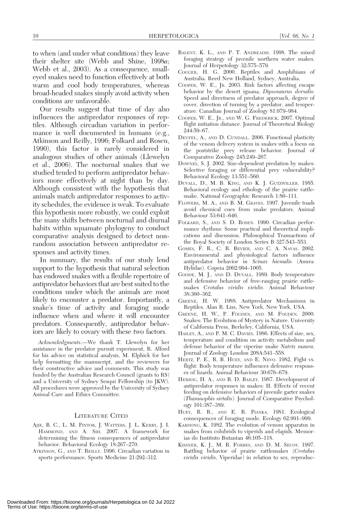to when (and under what conditions) they leave their shelter site (Webb and Shine, 1998a; Webb et al., 2003). As a consequence, smalleyed snakes need to function effectively at both warm and cool body temperatures, whereas broad-headed snakes simply avoid activity when conditions are unfavorable.

Our results suggest that time of day also influences the antipredator responses of reptiles. Although circadian variation in performance is well documented in humans (e.g., Atkinson and Reilly, 1996; Folkard and Rosen, 1990), this factor is rarely considered in analogous studies of other animals (Llewelyn et al., 2006). The nocturnal snakes that we studied tended to perform antipredator behaviors more effectively at night than by day. Although consistent with the hypothesis that animals match antipredator responses to activity schedules, the evidence is weak. To evaluate this hypothesis more robustly, we could exploit the many shifts between nocturnal and diurnal habits within squamate phylogeny to conduct comparative analysis designed to detect nonrandom association between antipredator responses and activity times.

In summary, the results of our study lend support to the hypothesis that natural selection has endowed snakes with a flexible repertoire of antipredator behaviors that are best suited to the conditions under which the animals are most likely to encounter a predator. Importantly, a snake's time of activity and foraging mode influence when and where it will encounter predators. Consequently, antipredator behaviors are likely to covary with these two factors.

Acknowledgments.—We thank T. Llewelyn for her assistance in the predator pursuit experiment, R. Alford for his advice on statistical analysis, M. Elphick for her help formatting the manuscript, and the reviewers for their constructive advice and comments. This study was funded by the Australian Research Council (grants to RS) and a University of Sydney Sesqui Fellowship (to JKW). All procedures were approved by the University of Sydney Animal Care and Ethics Committee.

#### LITERATURE CITED

- AJIE, B. C., L. M. PINTOR, J. WATTERS, J. L. KERBY, J. I. HAMMOND, AND A. SIH. 2007. A framework for determining the fitness consequences of antipredator behavior. Behavioral Ecology 18:267–270.
- ATKINSON, G., AND T. REILLY. 1996. Circadian variation in sports performance. Sports Medicine 21:292–312.
- BALENT, K. L., AND P. T. ANDREADIS. 1998. The mixed foraging strategy of juvenile northern water snakes. Journal of Herpetology 32:575–579.
- COGGER, H. G. 2000. Reptiles and Amphibians of Australia. Reed New Holland, Sydney, Australia.
- COOPER, W. E., JR. 2003. Risk factors affecting escape behavior by the desert iguana, Dipsosaurus dorsalis: Speed and directness of predator approach, degree of cover, direction of turning by a predator, and temperature. Canadian Journal of Zoology 81:979–984.
- COOPER, W. E., JR., AND W. G. FREDERICK. 2007. Optimal flight initiation distance. Journal of Theoretical Biology 244:59–67.
- DEUFEL, A., AND D. CUNDALL. 2006. Functional plasticity of the venom delivery system in snakes with a focus on the poststrike prey release behavior. Journal of Comparative Zoology 245:249–267.
- DOWNES, S. J. 2002. Size-dependent predation by snakes: Selective foraging or differential prey vulnerability? Behavioral Ecology 13:551–560.
- DUVALL, D., M. B. KING, AND K. J. GUTZWILLER. 1985. Behavioral ecology and ethology of the prairie rattlesnake. National Geographic Research 1:80–111.
- FLOWERS, M. A., AND B. M. GRAVES. 1997. Juvenile toads avoid chemical cues from snake predators. Animal Behaviour 53:641–646.
- FOLKARD, S., AND S. D. ROSEN. 1990. Circadian performance rhythms: Some practical and theoretical implications and discussion. Philosophical Transactions of the Royal Society of London Series B 327:543–553.
- GOMES, F. R., C. R. BEVIER, AND C. A. NAVAS. 2002. Environmental and physiological factors influence antipredator behavior in Scinax hiemalis (Anura: Hylidae). Copeia 2002:994–1005.
- GOODE, M. J., AND D. DUVALL. 1989. Body temperature and defensive behavior of free-ranging prairie rattlesnakes Crotalus viridis viridis. Animal Behaviour 38:360–362.
- GREENE, H. W. 1988. Antipredator Mechanisms in Reptiles. Alan R. Liss, New York, New York, USA.
- GREENE, H. W., P. FOGDEN, AND M. FOGDEN. 2000. Snakes: The Evolution of Mystery in Nature. University of California Press, Berkeley, California, USA.
- HAILEY, A., AND P. M. C. DAVIES. 1986. Effects of size, sex, temperature and condition on activity metabolism and defense behavior of the viperine snake Natrix maura. Journal of Zoology London 208A:541–558.
- HERTZ, P. E., R. B. HUEY, AND E. NEVO. 1982. Fight vs. flight: Body temperature influences defensive responses of lizards. Animal Behaviour 30:676–679.
- HERZOG, H. A., AND B. D. BAILEY. 1987. Development of antipredator responses in snakes: II. Effects of recent feeding on defensive behaviors of juvenile garter snakes (Thamnophis sirtalis). Journal of Comparative Psychology 101:387–389.
- HUEY, R. B., AND E. R. PIANKA. 1981. Ecological consequences of foraging mode. Ecology 62:991–999.
- KARDONG, K. 1982. The evolution of venom apparatus in snakes from colubrids to viperids and elapids. Memorias do Instituto Butantan 46:105–118.
- KISSNER, K. J., M. R. FORBES, AND D. M. SECOY. 1997. Rattling behavior of prairie rattlesnakes (Crotalus viridis viridis, Viperidae) in relation to sex, reproduc-